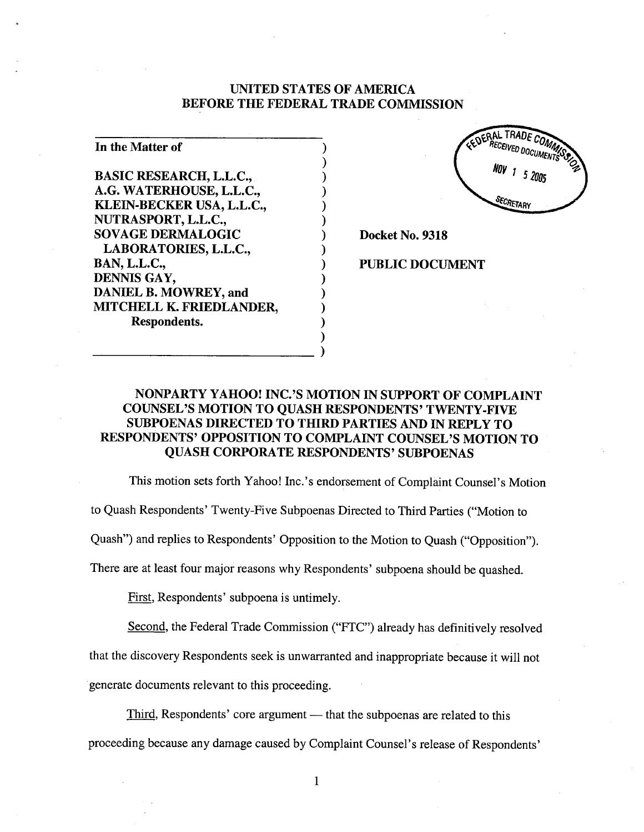#### UNITED STATES OF AMERICA BEFORE THE FEDERAL TRADE COMMISSION

) ) ) ) ) ) ) ) ) ) ) ) ) ) )

| In the Matter of               |  |
|--------------------------------|--|
| <b>BASIC RESEARCH, L.L.C.,</b> |  |
| A.G. WATERHOUSE, L.L.C.,       |  |
| KLEIN-BECKER USA, L.L.C.,      |  |
| NUTRASPORT, L.L.C.,            |  |
| <b>SOVAGE DERMALOGIC</b>       |  |
| LABORATORIES, L.L.C.,          |  |
| <b>BAN, L.L.C.,</b>            |  |
| DENNIS GAY,                    |  |
| DANIEL B. MOWREY, and          |  |
| MITCHELL K. FRIEDLANDER,       |  |
| Respondents.                   |  |



Docket No. 9318

#### PUBLIC DOCUMENT

## NONPARTY YAHOO! INC.'S MOTION IN SUPPORT OF COMPLAINT COUNSEL'S MOTION TO QUASH RESPONDENTS' TWENTY-FIVE SUBPOENAS DIRECTED TO THIRD PARTIES AND IN REPLY TO RESPONDENTS' OPPOSITION TO COMPLAINT COUNSEL'S MOTION TO QUASH CORPORATE RESPONDENTS' SUBPOENAS

This motion sets forth Yahoo! Inc.' s endorsement of Complaint Counsel's Motion

to Quash Respondents' Twenty-Five Subpoenas Directed to Third Paries ("Motion to

Quash") and replies to Respondents' Opposition to the Motion to Quash ("Opposition").

There are at least four major reasons why Respondents' subpoena should be quashed.

First, Respondents' subpoena is untimely.

Second, the Federal Trade Commission ("FTC") already has definitively resolved

that the discovery Respondents seek is unwarranted and inappropriate because it will not

generate documents relevant to this proceeding.

Third, Respondents' core argument — that the subpoenas are related to this proceeding because any damage caused by Complaint Counsel's release of Respondents'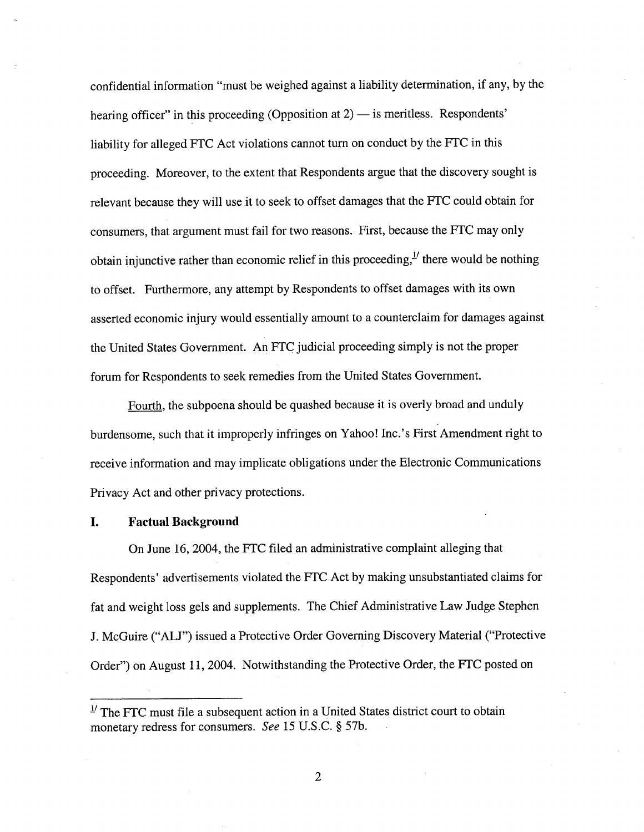confidential information "must be weighed against a liability determination, if any, by the hearing officer" in this proceeding (Opposition at  $2$ )  $-$  is meritless. Respondents' liabilty for alleged FTC Act violations cannot turn on conduct by the FTC in this proceeding. Moreover, to the extent that Respondents argue that the discovery sought is relevant because they will use it to seek to offset damages that the FTC could obtain for consumers, that argument must fail for two reasons. First, because the FTC may only obtain injunctive rather than economic relief in this proceeding,  $\mu$  there would be nothing to offset. Furthermore, any attempt by Respondents to offset damages with its own asserted economic injury would essentially amount to a counterclaim for damages against the United States Government. An FTC judicial proceeding simply is not the proper forum for Respondents to seek remedies from the United States Government.

Fourth, the subpoena should be quashed because it is overly broad and unduly burdensome, such that it improperly infringes on Yahoo! Inc.'s First Amendment right to receive information and may implicate obligations under the Electronic Communications Privacy Act and other privacy protections.

#### I. Factual Background

On June 16,2004, the FTC filed an administrative complaint alleging that Respondents' advertisements violated the FTC Act by making unsubstantiated claims for fat and weight loss gels and supplements. The Chief Administrative Law Judge Stephen J. McGuire ("ALJ") issued a Protective Order Governing Discovery Material ("Protective Order") on August 11,2004. Notwithstanding the Protective Order, the FTC posted on

 $1/2$  The FTC must file a subsequent action in a United States district court to obtain monetary redress for consumers. See 15 U.S.C. § 57b.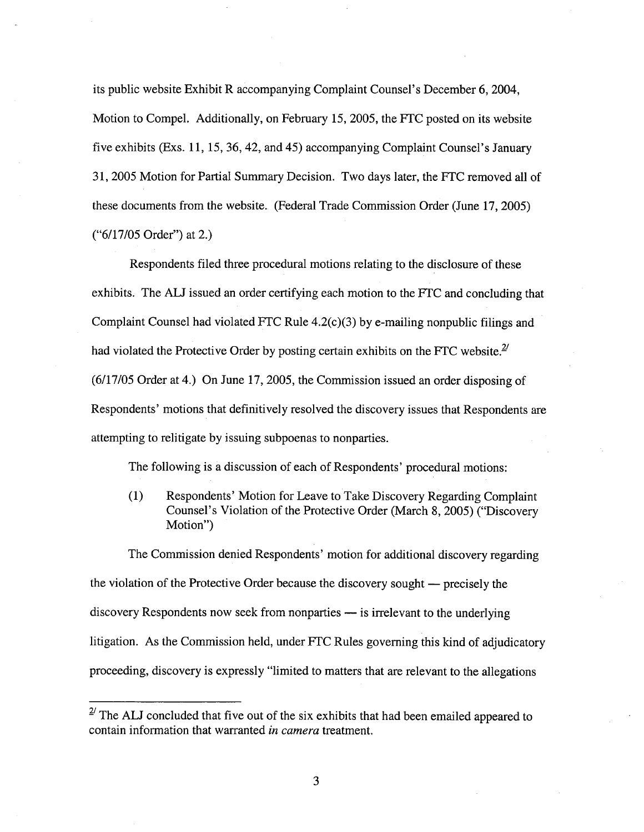its public website Exhibit R accompanying Complaint Counsel's December 6, 2004, Motion to CompeL. Additionally, on February 15,2005, the FTC posted on its website five exhibits (Exs. 11, 15,36,42, and 45) accompanying Complaint Counsel's January 31, 2005 Motion for Partial Summary Decision. Two days later, the FTC removed all of these documents from the website. (Federal Trade Commission Order (June 17,2005) ("6/17/05 Order") at 2.)

Respondents filed three procedural motions relating to the disclosure of these exhibits. The AU issued an order certifying each motion to the FTC and concluding that Complaint Counsel had violated FTC Rule  $4.2(c)(3)$  by e-mailing nonpublic filings and had violated the Protective Order by posting certain exhibits on the FTC website. $2^{\prime}$ (6/17/05 Order at 4.) On June 17, 2005, the Commission issued an order disposing of Respondents' motions that definitively resolved the discovery issues that Respondents are attempting to relitigate by issuing subpoenas to nonparies.

The following is a discussion of each of Respondents' procedural motions:

(1) Respondents' Motion for Leave to Take Discovery Regarding Complaint Counsel's Violation of the Protective Order (March 8, 2005) ("Discovery Motion")

The Commission denied Respondents' motion for additional discovery regarding the violation of the Protective Order because the discovery sought — precisely the  $discovery$  Respondents now seek from nonparties  $-$  is irrelevant to the underlying litigation. As the Commission held, under FTC Rules governing this kind of adjudicatory proceeding, discovery is expressly "limited to matters that are relevant to the allegations

 $2^{7}$  The ALJ concluded that five out of the six exhibits that had been emailed appeared to contain information that warranted in camera treatment.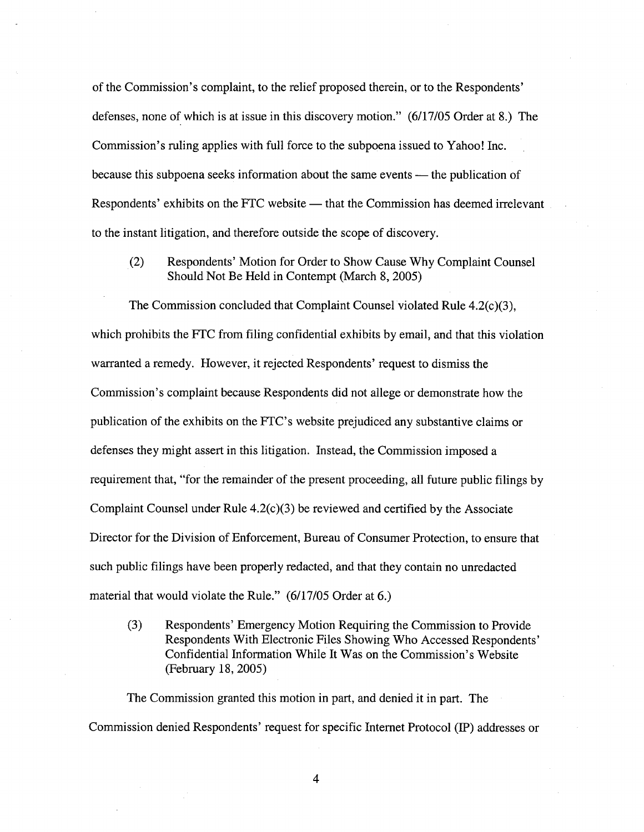of the Commission's complaint, to the relief proposed therein, or to the Respondents' defenses, none of which is at issue in this discovery motion." (6/17/05 Order at 8.) The Commission's ruling applies with full force to the subpoena issued to Yahoo! Inc. because this subpoena seeks information about the same events — the publication of Respondents' exhibits on the FTC website — that the Commission has deemed irrelevant to the instant litigation, and therefore outside the scope of discovery.

(2) Respondents' Motion for Order to Show Cause Why Complaint Counsel Should Not Be Held in Contempt (March 8, 2005)

The Commission concluded that Complaint Counsel violated Rule 4.2(c)(3), which prohibits the FTC from filing confidential exhibits by email, and that this violation waranted a remedy. However, it rejected Respondents' request to dismiss the Commission's complaint because Respondents did not allege or demonstrate how the publication of the exhibits on the FTC's website prejudiced any substantive claims or defenses they might assert in this litigation. Instead, the Commission imposed a requirement that, "for the remainder of the present proceeding, all future public filngs by Complaint Counsel under Rule 4.2(c)(3) be reviewed and certified by the Associate Director for the Division of Enforcement, Bureau of Consumer Protection, to ensure that such public fiings have been properly redacted, and that they contain no unredacted material that would violate the Rule." (6/17/05 Order at 6.)

(3) Respondents' Emergency Motion Requiring the Commission to Provide Respondents With Electronic Files Showing Who Accessed Respondents' Confidential Information While It Was on the Commission's Website (February 18, 2005)

The Commission granted this motion in part, and denied it in part. The Commission denied Respondents' request for specific Internet Protocol (IP) addresses or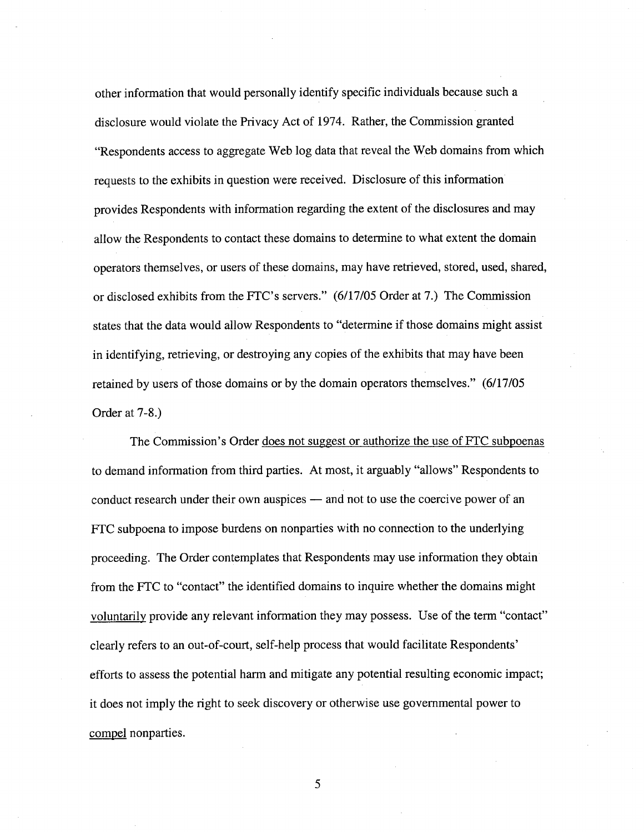other information that would personally identify specific individuals because such a disclosure would violate the Privacy Act of 1974. Rather, the Commission granted "Respondents access to aggregate Web log data that reveal the Web domains from which requests to the exhibits in question were received. Disclosure of this information provides Respondents with information regarding the extent of the disclosures and may allow the Respondents to contact these domains to determine to what extent the domain operators themselves, or users of these domains, may have retrieved, stored, used, shared, or disclosed exhibits from the FTC's servers." (6/17/05 Order at 7.) The Commission states that the data would allow Respondents to "determine if those domains might assist in identifying, retrieving, or destroying any copies of the exhibits that may have been retained by users of those domains or by the domain operators themselves." (6/17/05 Order at 7-8.)

The Commission's Order does not suggest or authorize the use of FTC subpoenas to demand information from third parties. At most, it arguably "allows" Respondents to conduct research under their own auspices - and not to use the coercive power of an FTC subpoena to impose burdens on nonparties with no connection to the underlying proceeding. The Order contemplates that Respondents may use information they obtain from the FTC to "contact" the identified domains to inquire whether the domains might voluntarily provide any relevant information they may possess. Use of the term "contact" clearly refers to an out-of-court, self-help process that would facilitate Respondents' efforts to assess the potential harm and mitigate any potential resulting economic impact; it does not imply the right to seek discovery or otherwise use governmental power to compel nonparties.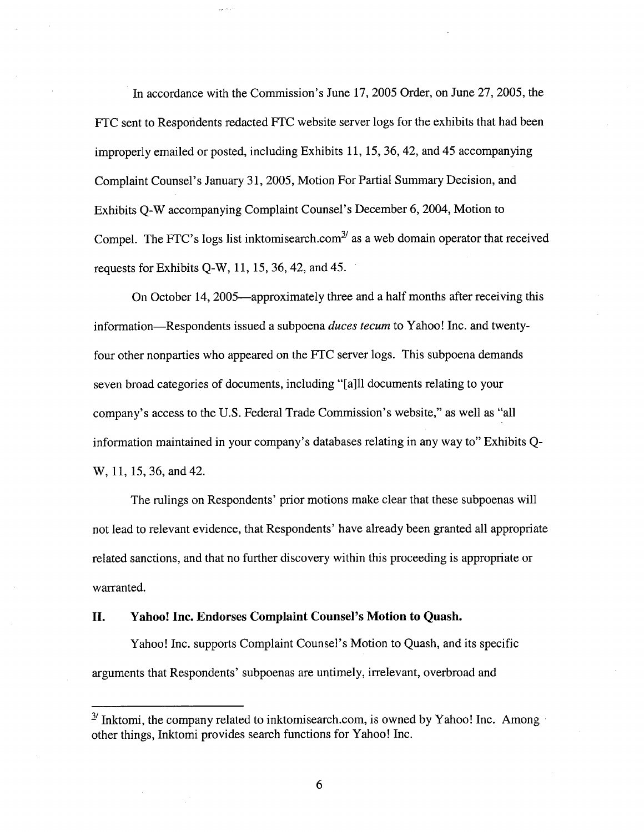In accordance with the Commission's June 17,2005 Order, on June 27, 2005, the FTC sent to Respondents redacted FTC website server logs for the exhibits that had been improperly emailed or posted, including Exhibits 11, 15,36,42, and 45 accompanying Complaint Counsel's January 31, 2005, Motion For Parial Summary Decision, and Exhibits Q-W accompanying Complaint Counsel's December 6, 2004, Motion to Compel. The FTC's logs list inktomisearch.com $^{3/2}$  as a web domain operator that received requests for Exhibits Q-W, 11, 15,36,42, and 45.

On October 14, 2005—approximately three and a half months after receiving this information-Respondents issued a subpoena duces tecum to Yahoo! Inc. and twentyfour other nonparies who appeared on the FTC server logs. This subpoena demands seven broad categories of documents, including "(a)ll documents relating to your company's access to the U.S. Federal Trade Commission's website," as well as "all information maintained in your company's databases relating in any way to" Exhibits Q-W, 11, 15,36, and 42.

The rulings on Respondents' prior motions make clear that these subpoenas wil not lead to relevant evidence, that Respondents' have already been granted all appropriate related sanctions, and that no further discovery within this proceeding is appropriate or warranted.

#### II. Yahoo! Inc. Endorses Complaint Counsel's Motion to Quash.

Yahoo! Inc. supports Complaint Counsel's Motion to Quash, and its specific arguments that Respondents' subpoenas are untimely, irrelevant, overbroad and

 $\frac{3}{2}$  Inktomi, the company related to inktomisearch.com, is owned by Yahoo! Inc. Among other things, Inktomi provides search functions for Yahoo! Inc.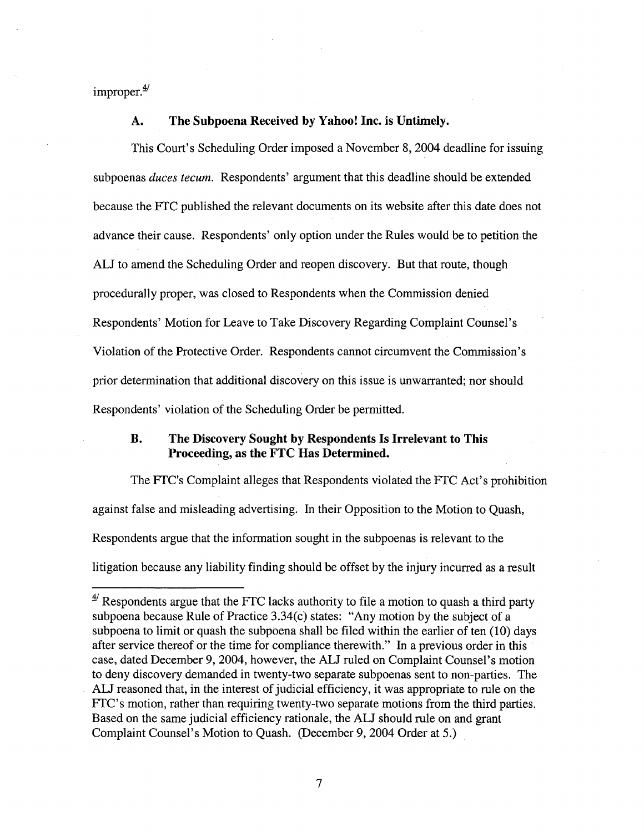improper. $\frac{4}{3}$ 

#### A. The Subpoena Received by Yahoo! Inc. is Untimely.

This Court's Scheduling Order imposed a November 8, 2004 deadline for issuing subpoenas duces tecum. Respondents' argument that this deadline should be extended because the FTC published the relevant documents on its website after this date does not advance their cause. Respondents' only option under the Rules would be to petition the AU to amend the Scheduling Order and reopen discovery. But that route, though procedurally proper, was closed to Respondents when the Commission denied Respondents' Motion for Leave to Take Discovery Regarding Complaint Counsel's Violation of the Protective Order. Respondents cannot circumvent the Commission's prior determination that additional discovery on this issue is unwaranted; nor should Respondents' violation of the Scheduling Order be permtted.

### B. The Discovery Sought by Respondents Is Irrelevant to This Proceeding, as the FTC Has Determined.

The FTC's Complaint alleges that Respondents violated the FTC Act's prohibition against false and misleading advertising. In their Opposition to the Motion to Quash, Respondents argue that the information sought in the subpoenas is relevant to the litigation because any liabilty finding should be offset by the injury incurred as a result

 $\frac{4}{1}$  Respondents argue that the FTC lacks authority to file a motion to quash a third party subpoena because Rule of Practice 3.34(c) states: "Any motion by the subject of a subpoena to limit or quash the subpoena shall be filed within the earlier of ten (10) days after service thereof or the time for compliance therewith." In a previous order in this case, dated December 9,2004, however, the AU ruled on Complaint Counsel's motion to deny discovery demanded in twenty-two separate subpoenas sent to non-parties. The ALJ reasoned that, in the interest of judicial efficiency, it was appropriate to rule on the FTC's motion, rather than requiring twenty-two separate motions from the third paries. Based on the same judicial efficiency rationale, the AU should rule on and grant Complaint Counsel's Motion to Quash. (December 9, 2004 Order at 5.)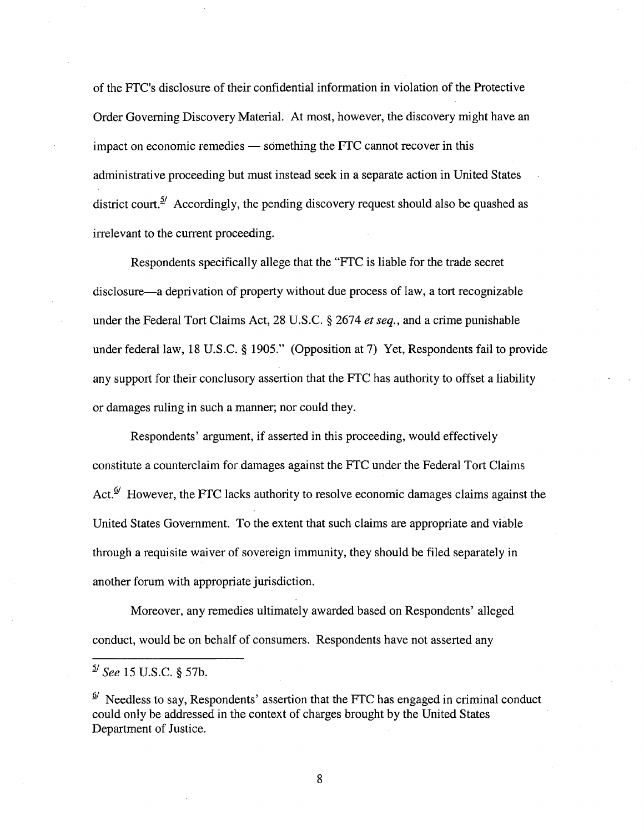of the FTC's disclosure of their confidential information in violation of the Protective Order Governing Discovery MateriaL. At most, however, the discovery might have an impact on economic remedies  $-$  something the FTC cannot recover in this administrative proceeding but must instead seek in a separate action in United States district court.<sup>5/</sup> Accordingly, the pending discovery request should also be quashed as irrelevant to the current proceeding.

Respondents specifically allege that the "FTC is liable for the trade secret disclosure-a deprivation of property without due process of law, a tort recognizable under the Federal Tort Claims Act, 28 U.S.C. § 2674 et seq., and a crime punishable under federal law, 18 U.S.C. § 1905." (Opposition at 7) Yet, Respondents fail to provide any support for their conclusory assertion that the FTC has authority to offset a liability or damages ruling in such a manner; nor could they.

Respondents' argument, if asserted in this proceeding, would effectively constitute a counterclaim for damages against the FTC under the Federal Tort Claims Act.<sup> $\Phi$ </sup> However, the FTC lacks authority to resolve economic damages claims against the United States Government. To the extent that such claims are appropriate and viable through a requisite waiver of sovereign immunity, they should be fied separately in another forum with appropriate jurisdiction.

Moreover, any remedies ultimately awarded based on Respondents' alleged conduct, would be on behalf of consumers. Respondents have not asserted any

 $^{5/}$  See 15 U.S.C. § 57b.

 $\frac{Q'}{P}$  Needless to say, Respondents' assertion that the FTC has engaged in criminal conduct could only be addressed in the context of charges brought by the United States Department of Justice.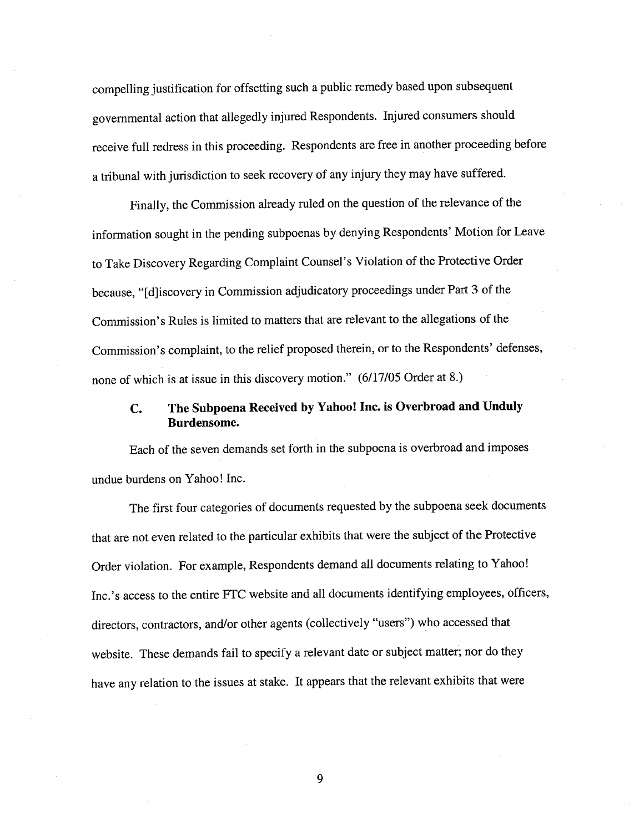compellng justification for offsetting such a public remedy based upon subsequent governmental action that allegedly injured Respondents. Injured consumers should receive full redress in this proceeding. Respondents are free in another proceeding before a tribunal with jurisdiction to seek recovery of any injury they may have suffered.

Finally, the Commission already ruled on the question of the relevance of the information sought in the pending subpoenas by denying Respondents' Motion for Leave to Take Discovery Regarding Complaint Counsel's Violation of the Protecti ve Order because, "[d]iscovery in Commission adjudicatory proceedings under Part 3 of the Commission's Rules is limited to matters that are relevant to the allegations of the Commission's complaint, to the relief proposed therein, or to the Respondents' defenses, none of which is at issue in this discovery motion." (6/17/05 Order at 8.)

## c. The Subpoena Received by Yahoo! Inc. is Overbroad and Unduly Burdensome.

Each of the seven demands set forth in the subpoena is overbroad and imposes undue burdens on Yahoo! Inc.

The first four categories of documents requested by the subpoena seek documents that are not even related to the paricular exhibits that were the subject of the Protective Order violation. For example, Respondents demand all documents relating to Yahoo! Inc.'s access to the entire FTC website and all documents identifying employees, officers, directors, contractors, and/or other agents (collectively "users") who accessed that website. These demands fail to specify a relevant date or subject matter; nor do they have any relation to the issues at stake. It appears that the relevant exhibits that were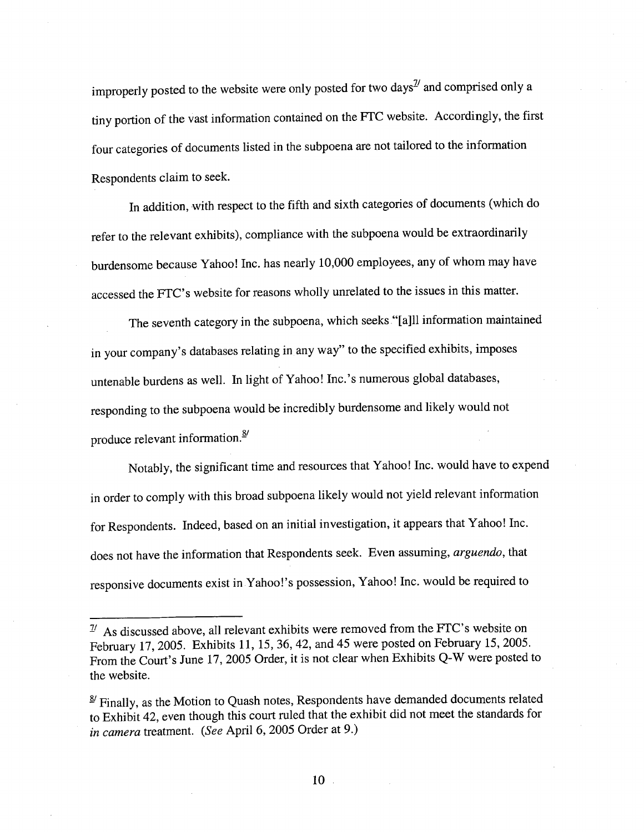improperly posted to the website were only posted for two days $\frac{1}{2}$  and comprised only a tiny portion of the vast information contained on the FTC website. Accordingly, the first four categories of documents listed in the subpoena are not tailored to the information Respondents claim to seek.

In addition, with respect to the fifth and sixth categories of documents (which do refer to the relevant exhibits), compliance with the subpoena would be extraordinarly burdensome because Yahoo! Inc. has nearly 10,000 employees, any of whom may have accessed the FTC's website for reasons wholly unrelated to the issues in this matter.

The seventh category in the subpoena, which seeks "(a)ll information maintained in your company's databases relating in any way" to the specified exhibits, imposes untenable burdens as well. In light of Yahoo! Inc.' s numerous global databases, responding to the subpoena would be incredibly burdensome and likely would not produce relevant information.<sup>8/</sup>

Notably, the significant time and resources that Yahoo! Inc. would have to expend in order to comply with this broad subpoena likely would not yield relevant information for Respondents. Indeed, based on an initial investigation, it appears that Yahoo! Inc. does not have the information that Respondents seek. Even assuming, arguendo, that responsive documents exist inYahoo!'s possession, Yahoo! Inc. would be required to

 $1/1$  As discussed above, all relevant exhibits were removed from the FTC's website on February 17,2005. Exhibits 11, 15,36,42, and 45 were posted on February 15,2005. From the Court's June 17,2005 Order, it is not clear when Exhibits Q-W were posted to the website.

 $\frac{8}{3}$  Finally, as the Motion to Quash notes, Respondents have demanded documents related to Exhibit 42, even though this court ruled that the exhibit did not meet the standards for in camera treatment. (See April 6, 2005 Order at 9.)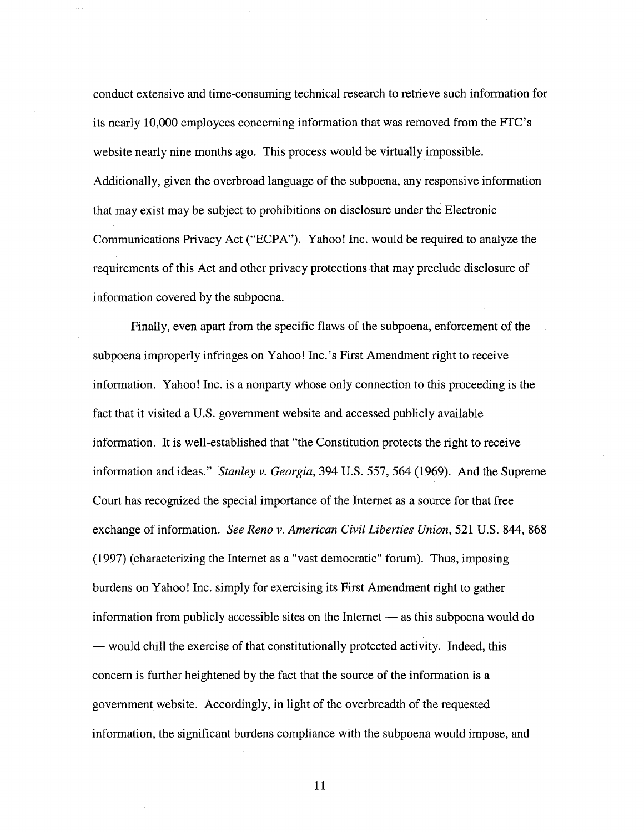conduct extensive and time-consuming technical research to retrieve such information for its nearly 10,000 employees concerning information that was removed from the FTC's website nearly nine months ago. This process would be virtually impossible. Additionally, given the overbroad language of the subpoena, any responsive information that may exist may be subject to prohibitions on disclosure under the Electronic Communications Privacy Act ("ECPA"). Yahoo! Inc. would be required to analyze the requirements of this Act and other privacy protections that may preclude disclosure of information covered by the subpoena.

Finally, even apart from the specific flaws of the subpoena, enforcement of the subpoena improperly infringes on Yahoo! Inc.'s First Amendment right to receive information. Yahoo! Inc. is a nonpary whose only connection to this proceeding is the fact that it visited a U.S. government website and accessed publicly available information. It is well-established that "the Constitution protects the right to receive information and ideas." Stanley v. Georgia, 394 U.S. 557, 564 (1969). And the Supreme Court has recognized the special importance of the Internet as a source for that free exchange of information. See Reno v. American Civil Liberties Union, 521 U.S. 844, 868 (1997) (characterizing the Internet as a "vast democratic" forum). Thus, imposing burdens on Yahoo! Inc. simply for exercising its First Amendment right to gather information from publicly accessible sites on the Internet  $-$  as this subpoena would do — would chill the exercise of that constitutionally protected activity. Indeed, this concern is further heightened by the fact that the source of the information is a government website. Accordingly, in light of the overbreadth of the requested information, the significant burdens compliance with the subpoena would impose, and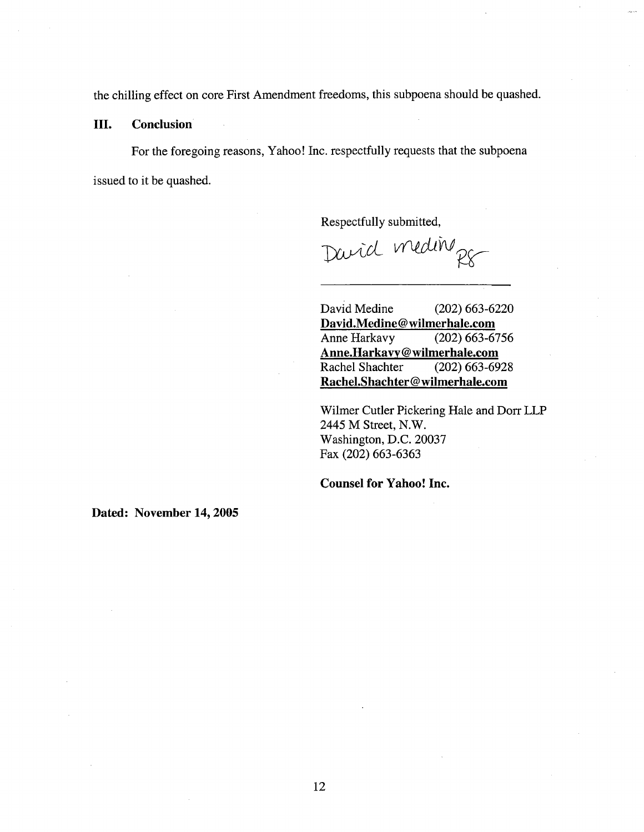the chiling effect on core First Amendment freedoms, this subpoena should be quashed.

III. Conclusion

For the foregoing reasons, Yahoo! Inc. respectfully requests that the subpoena issued to it be quashed.

Respectfully submitted,

David meding

David Medine (202) 663-6220 David.Medine@wilmerhale.com Anne Harkavy (202) 663-6756 Anne.Harkavy@wilmerhale.com Rachel Shachter (202) 663-6928 Rachel.Shachter@wilmerhale.com

Wilmer Cutler Pickering Hale and Dorr LLP 2445 M Street, N.W. Washington, D.C. 20037 Fax (202) 663-6363

Counsel for Yahoo! Inc.

Dated: November 14, 2005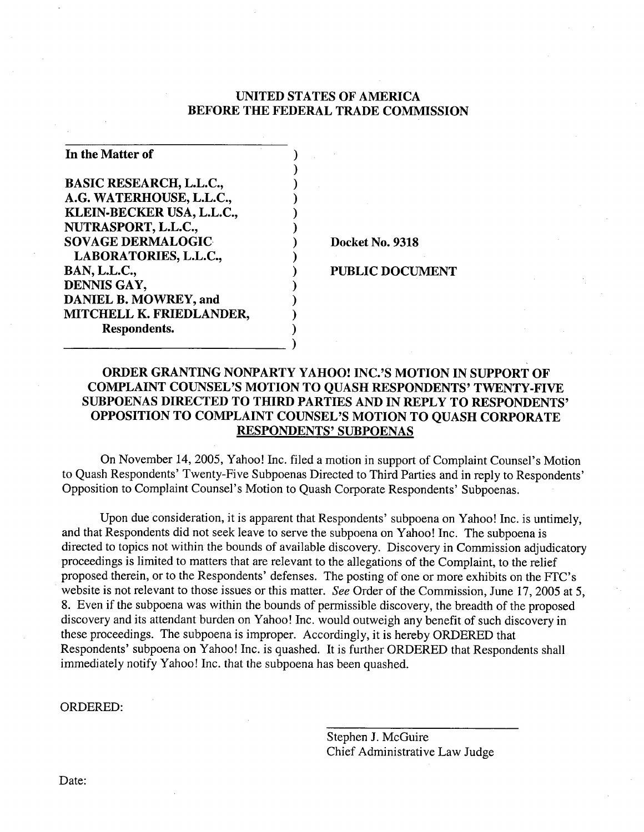## UNITED STATES OF AMERICA BEFORE THE FEDERAL TRADE COMMISSION

) ) ) ) ) ) )

)

| In the Matter of               |  |
|--------------------------------|--|
| <b>BASIC RESEARCH, L.L.C.,</b> |  |
| A.G. WATERHOUSE, L.L.C.,       |  |
| KLEIN-BECKER USA, L.L.C.,      |  |
| NUTRASPORT, L.L.C.,            |  |
| <b>SOVAGE DERMALOGIC</b>       |  |
| LABORATORIES, L.L.C.,          |  |
| <b>BAN, L.L.C.,</b>            |  |
| DENNIS GAY,                    |  |
| DANIEL B. MOWREY, and          |  |
| MITCHELL K. FRIEDLANDER,       |  |
| Respondents.                   |  |

Docket No. 9318

PUBLIC DOCUMENT

## ORDER GRANTING NONPARTY YAHOO! INC.'S MOTION IN SUPPORT OF COMPLAINT COUNSEL'S MOTION TO QUASH RESPONDENTS' TWENTY-FIVE SUBPOENAS DIRECTED TO THIRD PARTIES AND IN REPLY TO RESPONDENTS' OPPOSITION TO COMPLAINT COUNSEL'S MOTION TO QUASH CORPORATE RESPONDENTS' SUBPOENAS

On November 14, 2005, Yahoo! Inc. filed a motion in support of Complaint Counsel's Motion to Quash Respondents' Twenty-Five Subpoenas Directed to Third Parties and in reply to Respondents' Opposition to Complaint Counsel's Motion to Quash Corporate Respondents' Subpoenas.

Upon due consideration, it is apparent that Respondents' subpoena on Yahoo! Inc. is untimely, and that Respondents did not seek leave to serve the subpoena on Yahoo! Inc. The subpoena is directed to topics not within the bounds of available discovery. Discovery in Commission adjudicatory proceedings is limited to matters that are relevant to the allegations of the Complaint, to the relief proposed therein, or to the Respondents' defenses. The posting of one or more exhibits on the FTC's website is not relevant to those issues or this matter. See Order of the Commission, June 17, 2005 at 5, 8. Even if the subpoena was within the bounds of permissible discovery, the breadth of the proposed discovery and its attendant burden on Yahoo! Inc. would outweigh any benefit of such discovery in these proceedings. The subpoena is improper. Accordingly, it is hereby ORDERED that Respondents' subpoena on Yahoo! Inc. is quashed. It is further ORDERED that Respondents shall immediately notify Yahoo! Inc. that the subpoena has been quashed.

ORDERED:

Stephen J. McGuire Chief Administrative Law Judge